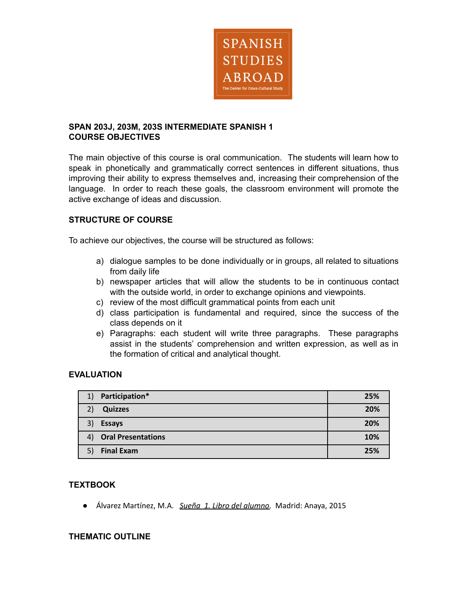

### **SPAN 203J, 203M, 203S INTERMEDIATE SPANISH 1 COURSE OBJECTIVES**

The main objective of this course is oral communication. The students will learn how to speak in phonetically and grammatically correct sentences in different situations, thus improving their ability to express themselves and, increasing their comprehension of the language. In order to reach these goals, the classroom environment will promote the active exchange of ideas and discussion.

# **STRUCTURE OF COURSE**

To achieve our objectives, the course will be structured as follows:

- a) dialogue samples to be done individually or in groups, all related to situations from daily life
- b) newspaper articles that will allow the students to be in continuous contact with the outside world, in order to exchange opinions and viewpoints.
- c) review of the most difficult grammatical points from each unit
- d) class participation is fundamental and required, since the success of the class depends on it
- e) Paragraphs: each student will write three paragraphs. These paragraphs assist in the students' comprehension and written expression, as well as in the formation of critical and analytical thought.

# **EVALUATION**

| 1) | Participation*            | 25% |
|----|---------------------------|-----|
|    | <b>Quizzes</b>            | 20% |
| 3) | <b>Essays</b>             | 20% |
| 4) | <b>Oral Presentations</b> | 10% |
| 5) | <b>Final Exam</b>         | 25% |

### **TEXTBOOK**

● Álvarez Martínez, M.A. *Sueña 1. Libro del alumno*. Madrid: Anaya, 2015

### **THEMATIC OUTLINE**